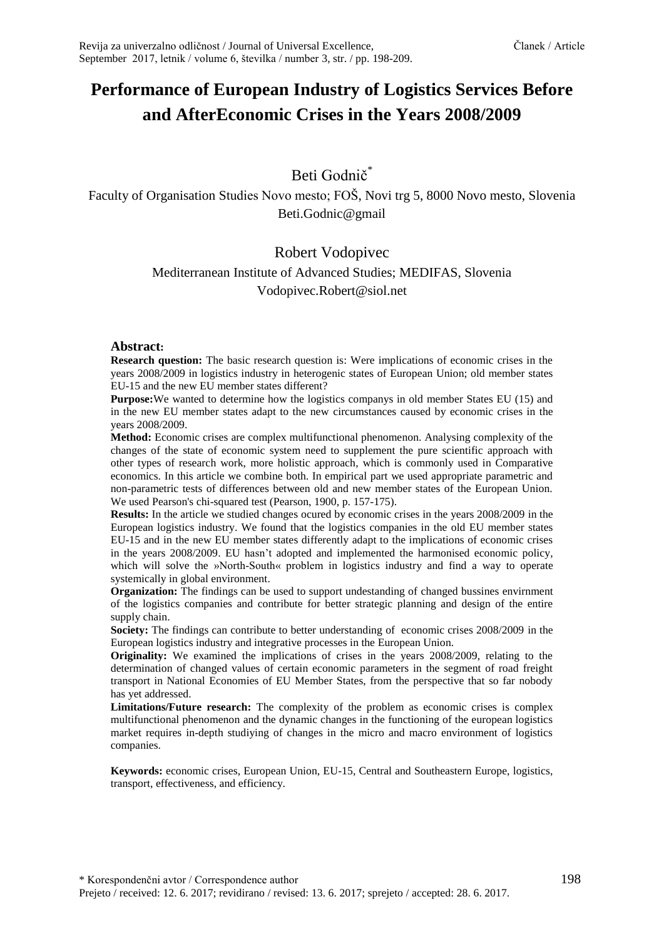# **Performance of European Industry of Logistics Services Before and AfterEconomic Crises in the Years 2008/2009**

## Beti Godnič<sup>\*</sup>

Faculty of Organisation Studies Novo mesto; FOŠ, Novi trg 5, 8000 Novo mesto, Slovenia Beti.Godnic@gmail

## Robert Vodopivec

# Mediterranean Institute of Advanced Studies; MEDIFAS, Slovenia

Vodopivec.Robert@siol.net

#### **Abstract:**

**Research question:** The basic research question is: Were implications of economic crises in the years 2008/2009 in logistics industry in heterogenic states of European Union; old member states EU-15 and the new EU member states different?

**Purpose:**We wanted to determine how the logistics companys in old member States EU (15) and in the new EU member states adapt to the new circumstances caused by economic crises in the years 2008/2009.

**Method:** Economic crises are complex multifunctional phenomenon. Analysing complexity of the changes of the state of economic system need to supplement the pure scientific approach with other types of research work, more holistic approach, which is commonly used in Comparative economics. In this article we combine both. In empirical part we used appropriate parametric and non-parametric tests of differences between old and new member states of the European Union. We used Pearson's chi-squared test (Pearson, 1900, p. 157-175).

**Results:** In the article we studied changes ocured by economic crises in the years 2008/2009 in the European logistics industry. We found that the logistics companies in the old EU member states EU-15 and in the new EU member states differently adapt to the implications of economic crises in the years 2008/2009. EU hasn't adopted and implemented the harmonised economic policy, which will solve the »North-South« problem in logistics industry and find a way to operate systemically in global environment.

**Organization:** The findings can be used to support undestanding of changed bussines envirnment of the logistics companies and contribute for better strategic planning and design of the entire supply chain.

**Society:** The findings can contribute to better understanding of economic crises 2008/2009 in the European logistics industry and integrative processes in the European Union.

**Originality:** We examined the implications of crises in the years 2008/2009, relating to the determination of changed values of certain economic parameters in the segment of road freight transport in National Economies of EU Member States, from the perspective that so far nobody has yet addressed.

**Limitations/Future research:** The complexity of the problem as economic crises is complex multifunctional phenomenon and the dynamic changes in the functioning of the european logistics market requires in-depth studiying of changes in the micro and macro environment of logistics companies.

**Keywords:** economic crises, European Union, EU-15, Central and Southeastern Europe, logistics, transport, effectiveness, and efficiency.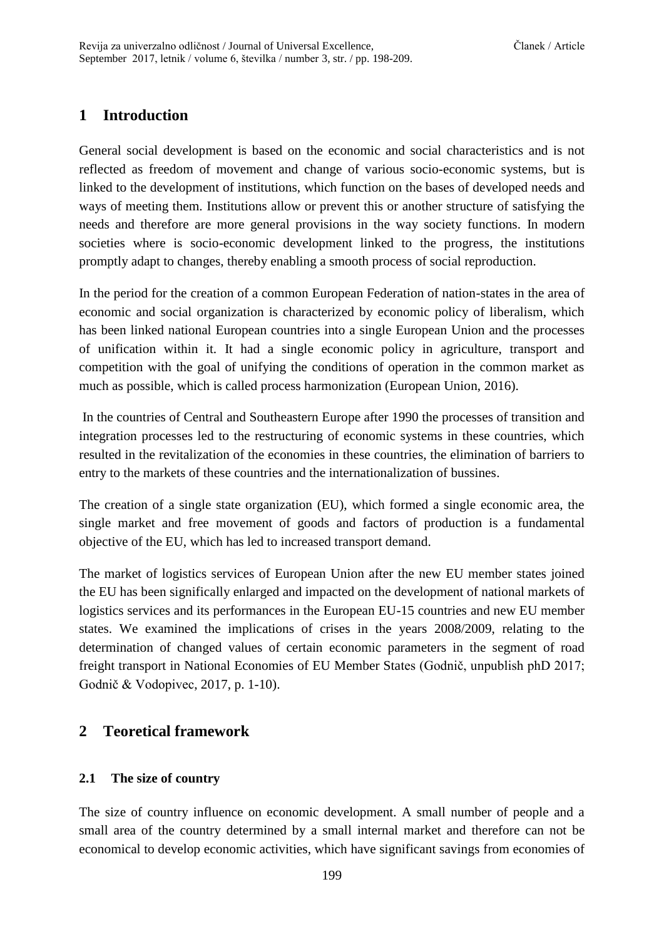## **1 Introduction**

General social development is based on the economic and social characteristics and is not reflected as freedom of movement and change of various socio-economic systems, but is linked to the development of institutions, which function on the bases of developed needs and ways of meeting them. Institutions allow or prevent this or another structure of satisfying the needs and therefore are more general provisions in the way society functions. In modern societies where is socio-economic development linked to the progress, the institutions promptly adapt to changes, thereby enabling a smooth process of social reproduction.

In the period for the creation of a common European Federation of nation-states in the area of economic and social organization is characterized by economic policy of liberalism, which has been linked national European countries into a single European Union and the processes of unification within it. It had a single economic policy in agriculture, transport and competition with the goal of unifying the conditions of operation in the common market as much as possible, which is called process harmonization (European Union, 2016).

In the countries of Central and Southeastern Europe after 1990 the processes of transition and integration processes led to the restructuring of economic systems in these countries, which resulted in the revitalization of the economies in these countries, the elimination of barriers to entry to the markets of these countries and the internationalization of bussines.

The creation of a single state organization (EU), which formed a single economic area, the single market and free movement of goods and factors of production is a fundamental objective of the EU, which has led to increased transport demand.

The market of logistics services of European Union after the new EU member states joined the EU has been significally enlarged and impacted on the development of national markets of logistics services and its performances in the European EU-15 countries and new EU member states. We examined the implications of crises in the years 2008/2009, relating to the determination of changed values of certain economic parameters in the segment of road freight transport in National Economies of EU Member States (Godnič, unpublish phD 2017; Godnič & Vodopivec, 2017, p. 1-10).

## **2 Teoretical framework**

### **2.1 The size of country**

The size of country influence on economic development. A small number of people and a small area of the country determined by a small internal market and therefore can not be economical to develop economic activities, which have significant savings from economies of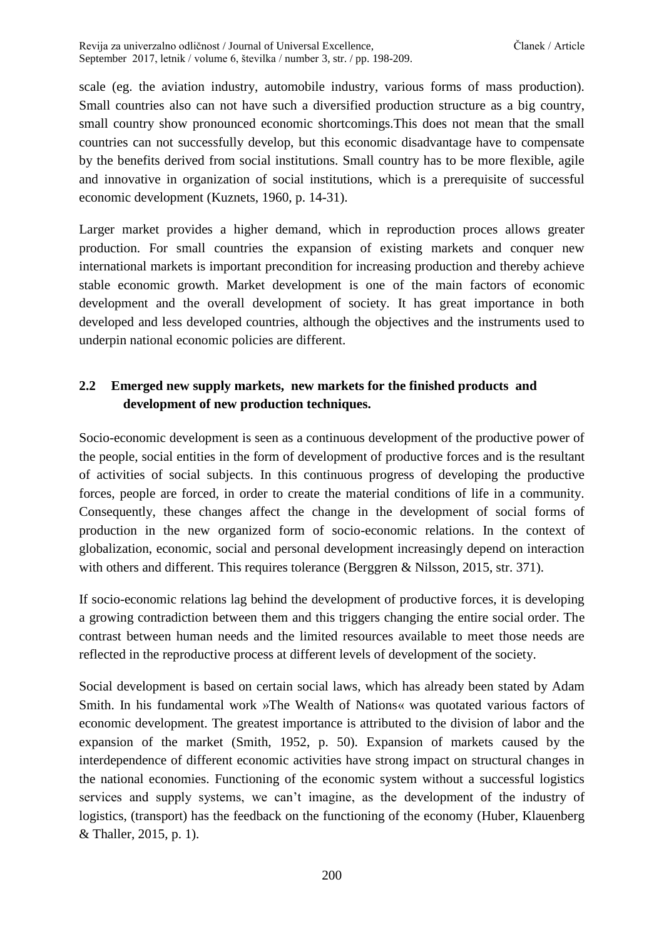scale (eg. the aviation industry, automobile industry, various forms of mass production). Small countries also can not have such a diversified production structure as a big country, small country show pronounced economic shortcomings.This does not mean that the small countries can not successfully develop, but this economic disadvantage have to compensate by the benefits derived from social institutions. Small country has to be more flexible, agile and innovative in organization of social institutions, which is a prerequisite of successful economic development (Kuznets, 1960, p. 14-31).

Larger market provides a higher demand, which in reproduction proces allows greater production. For small countries the expansion of existing markets and conquer new international markets is important precondition for increasing production and thereby achieve stable economic growth. Market development is one of the main factors of economic development and the overall development of society. It has great importance in both developed and less developed countries, although the objectives and the instruments used to underpin national economic policies are different.

## **2.2 Emerged new supply markets, new markets for the finished products and development of new production techniques.**

Socio-economic development is seen as a continuous development of the productive power of the people, social entities in the form of development of productive forces and is the resultant of activities of social subjects. In this continuous progress of developing the productive forces, people are forced, in order to create the material conditions of life in a community. Consequently, these changes affect the change in the development of social forms of production in the new organized form of socio-economic relations. In the context of globalization, economic, social and personal development increasingly depend on interaction with others and different. This requires tolerance (Berggren & Nilsson, 2015, str. 371).

If socio-economic relations lag behind the development of productive forces, it is developing a growing contradiction between them and this triggers changing the entire social order. The contrast between human needs and the limited resources available to meet those needs are reflected in the reproductive process at different levels of development of the society.

Social development is based on certain social laws, which has already been stated by Adam Smith. In his fundamental work »The Wealth of Nations« was quotated various factors of economic development. The greatest importance is attributed to the division of labor and the expansion of the market (Smith, 1952, p. 50). Expansion of markets caused by the interdependence of different economic activities have strong impact on structural changes in the national economies. Functioning of the economic system without a successful logistics services and supply systems, we can't imagine, as the development of the industry of logistics, (transport) has the feedback on the functioning of the economy (Huber, Klauenberg & Thaller, 2015, p. 1).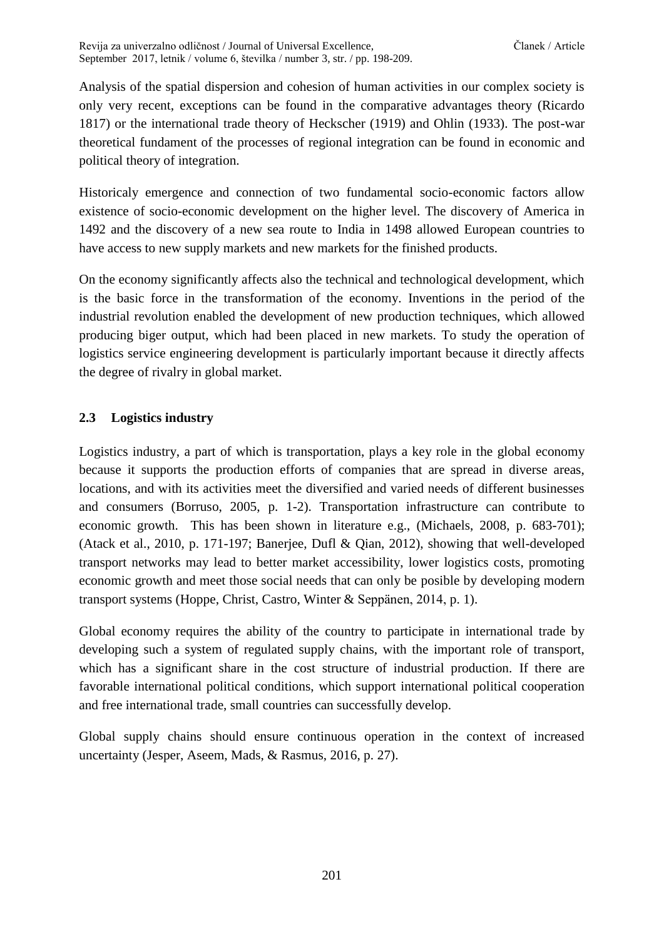Analysis of the spatial dispersion and cohesion of human activities in our complex society is only very recent, exceptions can be found in the comparative advantages theory (Ricardo 1817) or the international trade theory of Heckscher (1919) and Ohlin (1933). The post-war theoretical fundament of the processes of regional integration can be found in economic and political theory of integration.

Historicaly emergence and connection of two fundamental socio-economic factors allow existence of socio-economic development on the higher level. The discovery of America in 1492 and the discovery of a new sea route to India in 1498 allowed European countries to have access to new supply markets and new markets for the finished products.

On the economy significantly affects also the technical and technological development, which is the basic force in the transformation of the economy. Inventions in the period of the industrial revolution enabled the development of new production techniques, which allowed producing biger output, which had been placed in new markets. To study the operation of logistics service engineering development is particularly important because it directly affects the degree of rivalry in global market.

### **2.3 Logistics industry**

Logistics industry, a part of which is transportation, plays a key role in the global economy because it supports the production efforts of companies that are spread in diverse areas, locations, and with its activities meet the diversified and varied needs of different businesses and consumers (Borruso, 2005, p. 1-2). Transportation infrastructure can contribute to economic growth. This has been shown in literature e.g., (Michaels, 2008, p. 683-701); (Atack et al., 2010, p. 171-197; Banerjee, Dufl & Qian, 2012), showing that well-developed transport networks may lead to better market accessibility, lower logistics costs, promoting economic growth and meet those social needs that can only be posible by developing modern transport systems (Hoppe, Christ, Castro, Winter & Seppänen, 2014, p. 1).

Global economy requires the ability of the country to participate in international trade by developing such a system of regulated supply chains, with the important role of transport, which has a significant share in the cost structure of industrial production. If there are favorable international political conditions, which support international political cooperation and free international trade, small countries can successfully develop.

Global supply chains should ensure continuous operation in the context of increased uncertainty (Jesper, Aseem, Mads, & Rasmus, 2016, p. 27).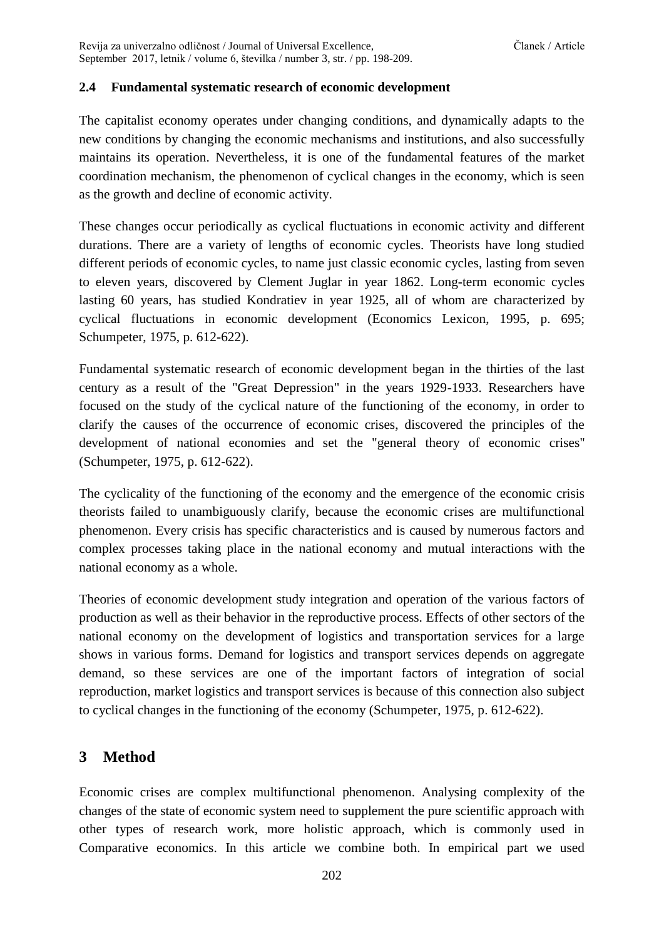#### **2.4 Fundamental systematic research of economic development**

The capitalist economy operates under changing conditions, and dynamically adapts to the new conditions by changing the economic mechanisms and institutions, and also successfully maintains its operation. Nevertheless, it is one of the fundamental features of the market coordination mechanism, the phenomenon of cyclical changes in the economy, which is seen as the growth and decline of economic activity.

These changes occur periodically as cyclical fluctuations in economic activity and different durations. There are a variety of lengths of economic cycles. Theorists have long studied different periods of economic cycles, to name just classic economic cycles, lasting from seven to eleven years, discovered by Clement Juglar in year 1862. Long-term economic cycles lasting 60 years, has studied Kondratiev in year 1925, all of whom are characterized by cyclical fluctuations in economic development (Economics Lexicon, 1995, p. 695; Schumpeter, 1975, p. 612-622).

Fundamental systematic research of economic development began in the thirties of the last century as a result of the "Great Depression" in the years 1929-1933. Researchers have focused on the study of the cyclical nature of the functioning of the economy, in order to clarify the causes of the occurrence of economic crises, discovered the principles of the development of national economies and set the "general theory of economic crises'' (Schumpeter, 1975, p. 612-622).

The cyclicality of the functioning of the economy and the emergence of the economic crisis theorists failed to unambiguously clarify, because the economic crises are multifunctional phenomenon. Every crisis has specific characteristics and is caused by numerous factors and complex processes taking place in the national economy and mutual interactions with the national economy as a whole.

Theories of economic development study integration and operation of the various factors of production as well as their behavior in the reproductive process. Effects of other sectors of the national economy on the development of logistics and transportation services for a large shows in various forms. Demand for logistics and transport services depends on aggregate demand, so these services are one of the important factors of integration of social reproduction, market logistics and transport services is because of this connection also subject to cyclical changes in the functioning of the economy (Schumpeter, 1975, p. 612-622).

## **3 Method**

Economic crises are complex multifunctional phenomenon. Analysing complexity of the changes of the state of economic system need to supplement the pure scientific approach with other types of research work, more holistic approach, which is commonly used in Comparative economics. In this article we combine both. In empirical part we used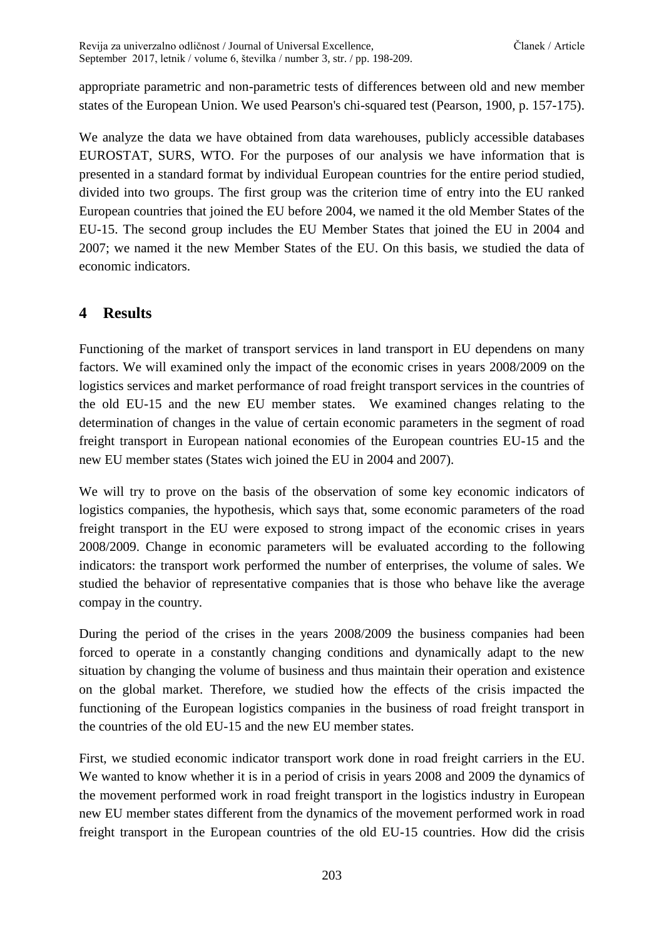Revija za univerzalno odličnost / Journal of Universal Excellence, Članek / Article September 2017, letnik / volume 6, številka / number 3, str. / pp. 198-209.

appropriate parametric and non-parametric tests of differences between old and new member states of the European Union. We used Pearson's chi-squared test (Pearson, 1900, p. 157-175).

We analyze the data we have obtained from data warehouses, publicly accessible databases EUROSTAT, SURS, WTO. For the purposes of our analysis we have information that is presented in a standard format by individual European countries for the entire period studied, divided into two groups. The first group was the criterion time of entry into the EU ranked European countries that joined the EU before 2004, we named it the old Member States of the EU-15. The second group includes the EU Member States that joined the EU in 2004 and 2007; we named it the new Member States of the EU. On this basis, we studied the data of economic indicators.

## **4 Results**

Functioning of the market of transport services in land transport in EU dependens on many factors. We will examined only the impact of the economic crises in years 2008/2009 on the logistics services and market performance of road freight transport services in the countries of the old EU-15 and the new EU member states. We examined changes relating to the determination of changes in the value of certain economic parameters in the segment of road freight transport in European national economies of the European countries EU-15 and the new EU member states (States wich joined the EU in 2004 and 2007).

We will try to prove on the basis of the observation of some key economic indicators of logistics companies, the hypothesis, which says that, some economic parameters of the road freight transport in the EU were exposed to strong impact of the economic crises in years 2008/2009. Change in economic parameters will be evaluated according to the following indicators: the transport work performed the number of enterprises, the volume of sales. We studied the behavior of representative companies that is those who behave like the average compay in the country.

During the period of the crises in the years 2008/2009 the business companies had been forced to operate in a constantly changing conditions and dynamically adapt to the new situation by changing the volume of business and thus maintain their operation and existence on the global market. Therefore, we studied how the effects of the crisis impacted the functioning of the European logistics companies in the business of road freight transport in the countries of the old EU-15 and the new EU member states.

First, we studied economic indicator transport work done in road freight carriers in the EU. We wanted to know whether it is in a period of crisis in years 2008 and 2009 the dynamics of the movement performed work in road freight transport in the logistics industry in European new EU member states different from the dynamics of the movement performed work in road freight transport in the European countries of the old EU-15 countries. How did the crisis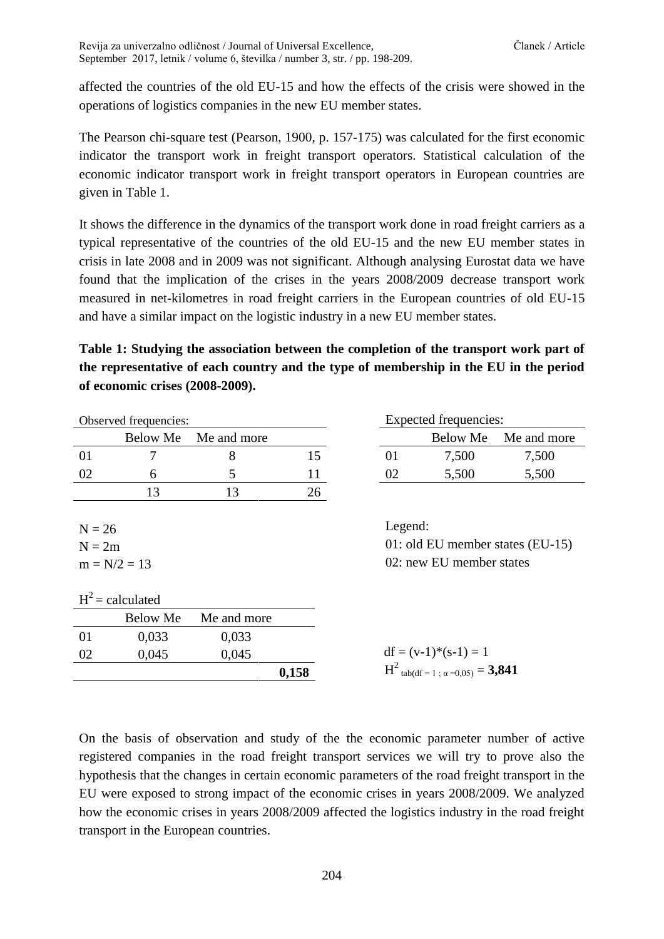affected the countries of the old EU-15 and how the effects of the crisis were showed in the operations of logistics companies in the new EU member states.

The Pearson chi-square test (Pearson, 1900, p. 157-175) was calculated for the first economic indicator the transport work in freight transport operators. Statistical calculation of the economic indicator transport work in freight transport operators in European countries are given in Table 1.

It shows the difference in the dynamics of the transport work done in road freight carriers as a typical representative of the countries of the old EU-15 and the new EU member states in crisis in late 2008 and in 2009 was not significant. Although analysing Eurostat data we have found that the implication of the crises in the years 2008/2009 decrease transport work measured in net-kilometres in road freight carriers in the European countries of old EU-15 and have a similar impact on the logistic industry in a new EU member states.

**Table 1: Studying the association between the completion of the transport work part of the representative of each country and the type of membership in the EU in the period of economic crises (2008-2009).**

| Observed frequencies:                  |                    |             | Expected frequencies: |                                                                |                                              |             |
|----------------------------------------|--------------------|-------------|-----------------------|----------------------------------------------------------------|----------------------------------------------|-------------|
|                                        | Below Me           | Me and more |                       |                                                                | <b>Below Me</b>                              | Me and more |
| 01                                     | 7                  | 8           | 15                    | 01                                                             | 7,500                                        | 7,500       |
| 02                                     | 6                  | 5           | 11                    | 02                                                             | 5,500                                        | 5,500       |
|                                        | 13                 | 13          | 26                    |                                                                |                                              |             |
| $N = 26$<br>$N = 2m$<br>$m = N/2 = 13$ |                    |             | Legend:               | 01: old EU member states $(EU-15)$<br>02: new EU member states |                                              |             |
|                                        | $H^2$ = calculated |             |                       |                                                                |                                              |             |
|                                        | <b>Below Me</b>    | Me and more |                       |                                                                |                                              |             |
| 01                                     | 0,033              | 0,033       |                       |                                                                |                                              |             |
| 02                                     | 0,045              | 0,045       |                       |                                                                | $df = (v-1)*(s-1) = 1$                       |             |
|                                        |                    |             | 0,158                 |                                                                | $H^2_{\text{tab(df}=1;\alpha=0.05)} = 3,841$ |             |

On the basis of observation and study of the the economic parameter number of active registered companies in the road freight transport services we will try to prove also the hypothesis that the changes in certain economic parameters of the road freight transport in the EU were exposed to strong impact of the economic crises in years 2008/2009. We analyzed how the economic crises in years 2008/2009 affected the logistics industry in the road freight transport in the European countries.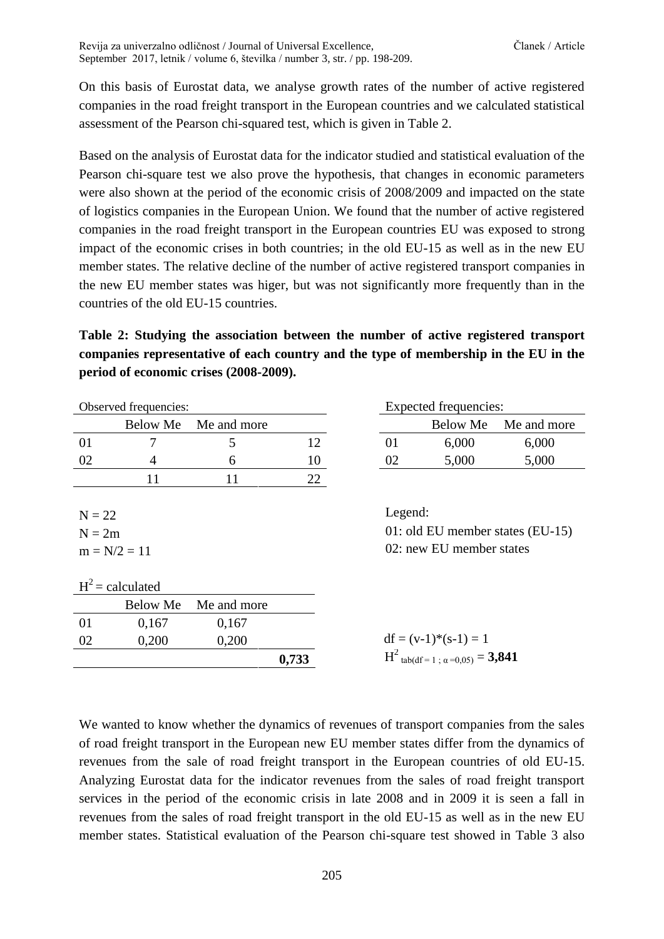On this basis of Eurostat data, we analyse growth rates of the number of active registered companies in the road freight transport in the European countries and we calculated statistical assessment of the Pearson chi-squared test, which is given in Table 2.

Based on the analysis of Eurostat data for the indicator studied and statistical evaluation of the Pearson chi-square test we also prove the hypothesis, that changes in economic parameters were also shown at the period of the economic crisis of 2008/2009 and impacted on the state of logistics companies in the European Union. We found that the number of active registered companies in the road freight transport in the European countries EU was exposed to strong impact of the economic crises in both countries; in the old EU-15 as well as in the new EU member states. The relative decline of the number of active registered transport companies in the new EU member states was higer, but was not significantly more frequently than in the countries of the old EU-15 countries.

**Table 2: Studying the association between the number of active registered transport companies representative of each country and the type of membership in the EU in the period of economic crises (2008-2009).**

|                | Observed frequencies: |             |       |                          | Expected frequencies:                            |                                  |
|----------------|-----------------------|-------------|-------|--------------------------|--------------------------------------------------|----------------------------------|
|                | Below Me              | Me and more |       |                          | <b>Below Me</b>                                  | Me and more                      |
| 01             | 7                     | 5           | 12    | 01                       | 6,000                                            | 6,000                            |
| 02             | 4                     | 6           | 10    | 02                       | 5,000                                            | 5,000                            |
|                | 11                    | 11          | 22    |                          |                                                  |                                  |
|                |                       |             |       |                          |                                                  |                                  |
| $N = 22$       |                       |             |       | Legend:                  |                                                  |                                  |
| $N = 2m$       |                       |             |       |                          |                                                  | 01: old EU member states (EU-15) |
| $m = N/2 = 11$ |                       |             |       | 02: new EU member states |                                                  |                                  |
|                |                       |             |       |                          |                                                  |                                  |
|                | $H^2$ = calculated    |             |       |                          |                                                  |                                  |
|                | <b>Below Me</b>       | Me and more |       |                          |                                                  |                                  |
| 01             | 0,167                 | 0,167       |       |                          |                                                  |                                  |
| 02             | 0,200                 | 0,200       |       |                          | $df = (v-1)*(s-1) = 1$                           |                                  |
|                |                       |             | 0,733 |                          | $H^2$ tab(df = 1; $\alpha$ =0,05) = <b>3,841</b> |                                  |

| Expected frequencies: |       |                      |  |  |
|-----------------------|-------|----------------------|--|--|
|                       |       | Below Me Me and more |  |  |
| 01                    | 6,000 | 6,000                |  |  |
| 02                    | 5,000 | 5,000                |  |  |

| $df = (v-1)*(s-1) = 1$                           |  |
|--------------------------------------------------|--|
| $H^2$ tab(df = 1; $\alpha$ =0,05) = <b>3,841</b> |  |

We wanted to know whether the dynamics of revenues of transport companies from the sales of road freight transport in the European new EU member states differ from the dynamics of revenues from the sale of road freight transport in the European countries of old EU-15. Analyzing Eurostat data for the indicator revenues from the sales of road freight transport services in the period of the economic crisis in late 2008 and in 2009 it is seen a fall in revenues from the sales of road freight transport in the old EU-15 as well as in the new EU member states. Statistical evaluation of the Pearson chi-square test showed in Table 3 also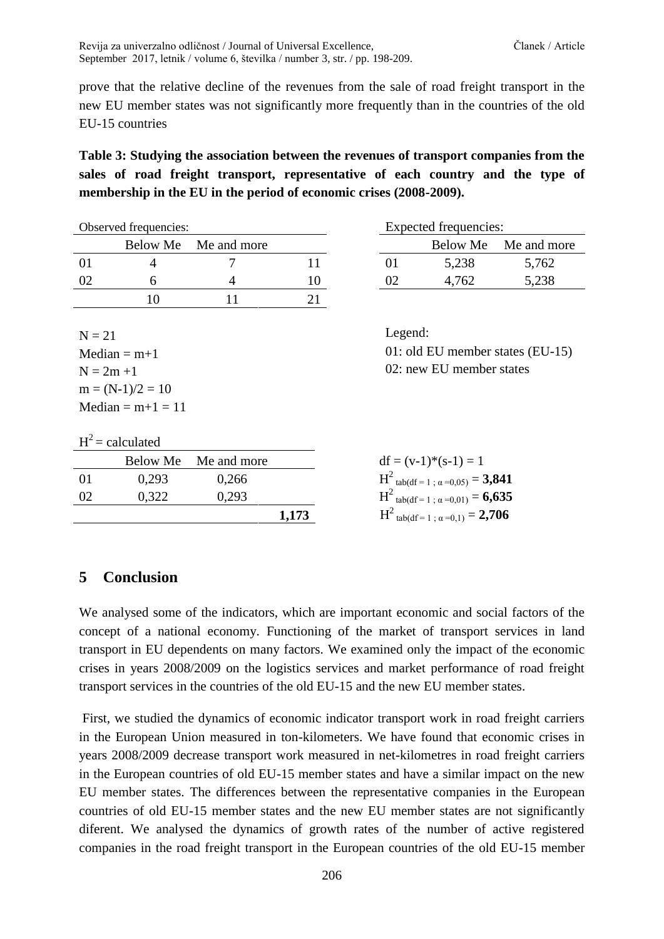prove that the relative decline of the revenues from the sale of road freight transport in the new EU member states was not significantly more frequently than in the countries of the old EU-15 countries

**Table 3: Studying the association between the revenues of transport companies from the sales of road freight transport, representative of each country and the type of membership in the EU in the period of economic crises (2008-2009).**

| Observed frequencies: |  |                      | Expected frequencies: |  |       |                      |
|-----------------------|--|----------------------|-----------------------|--|-------|----------------------|
|                       |  | Below Me Me and more |                       |  |       | Below Me Me and more |
|                       |  |                      |                       |  | 5,238 | 5,762                |
| -02                   |  |                      |                       |  | 4,762 | 5,238                |
|                       |  |                      |                       |  |       |                      |
|                       |  |                      |                       |  |       |                      |

 $N = 21$  Legend:  $m = (N-1)/2 = 10$  $Median = m+1 = 11$ 

|    | Expected frequencies: |                      |
|----|-----------------------|----------------------|
|    |                       | Below Me Me and more |
| 01 | 5,238                 | 5,762                |
| OŽ | 4.762                 | 5,238                |

Median  $= m+1$  01: old EU member states (EU-15)  $N = 2m +1$  02: new EU member states

| $H^2$ = calculated |  |
|--------------------|--|
|                    |  |

|     |       | Below Me Me and more |       | $df = (v-1)*(s-1) = 1$                |
|-----|-------|----------------------|-------|---------------------------------------|
| -01 | 0.293 | 0.266                |       | $H^2$ tab(df = 1; $\alpha$ =0,05) =   |
| -02 | 0.322 | 0.293                |       | $H^2$ tab(df = 1; $\alpha$ =0,01) = ' |
|     |       |                      | 1.173 | $H^2$ tab(df = 1; $\alpha$ =0,1) = 2  |

| $df = (v-1)*(s-1) = 1$                           |
|--------------------------------------------------|
| $H^2$ tab(df = 1; $\alpha$ =0,05) = <b>3,841</b> |
| $H^2$ tab(df = 1; $\alpha$ =0,01) = <b>6,635</b> |
| $H^2$ tab(df = 1 ; $\alpha$ =0,1) = <b>2,706</b> |

## **5 Conclusion**

We analysed some of the indicators, which are important economic and social factors of the concept of a national economy. Functioning of the market of transport services in land transport in EU dependents on many factors. We examined only the impact of the economic crises in years 2008/2009 on the logistics services and market performance of road freight transport services in the countries of the old EU-15 and the new EU member states.

First, we studied the dynamics of economic indicator transport work in road freight carriers in the European Union measured in ton-kilometers. We have found that economic crises in years 2008/2009 decrease transport work measured in net-kilometres in road freight carriers in the European countries of old EU-15 member states and have a similar impact on the new EU member states. The differences between the representative companies in the European countries of old EU-15 member states and the new EU member states are not significantly diferent. We analysed the dynamics of growth rates of the number of active registered companies in the road freight transport in the European countries of the old EU-15 member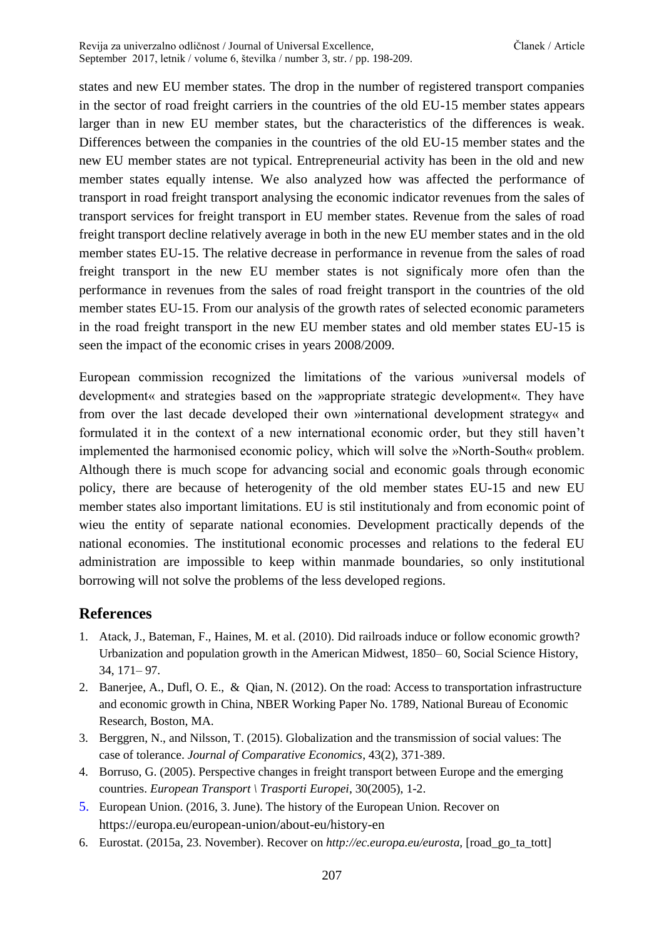states and new EU member states. The drop in the number of registered transport companies in the sector of road freight carriers in the countries of the old EU-15 member states appears larger than in new EU member states, but the characteristics of the differences is weak. Differences between the companies in the countries of the old EU-15 member states and the new EU member states are not typical. Entrepreneurial activity has been in the old and new member states equally intense. We also analyzed how was affected the performance of transport in road freight transport analysing the economic indicator revenues from the sales of transport services for freight transport in EU member states. Revenue from the sales of road freight transport decline relatively average in both in the new EU member states and in the old member states EU-15. The relative decrease in performance in revenue from the sales of road freight transport in the new EU member states is not significaly more ofen than the performance in revenues from the sales of road freight transport in the countries of the old member states EU-15. From our analysis of the growth rates of selected economic parameters in the road freight transport in the new EU member states and old member states EU-15 is seen the impact of the economic crises in years 2008/2009.

European commission recognized the limitations of the various »universal models of development« and strategies based on the »appropriate strategic development«. They have from over the last decade developed their own »international development strategy« and formulated it in the context of a new international economic order, but they still haven't implemented the harmonised economic policy, which will solve the »North-South« problem. Although there is much scope for advancing social and economic goals through economic policy, there are because of heterogenity of the old member states EU-15 and new EU member states also important limitations. EU is stil institutionaly and from economic point of wieu the entity of separate national economies. Development practically depends of the national economies. The institutional economic processes and relations to the federal EU administration are impossible to keep within manmade boundaries, so only institutional borrowing will not solve the problems of the less developed regions.

## **References**

- 1. Atack, J., Bateman, F., Haines, M. et al. (2010). Did railroads induce or follow economic growth? Urbanization and population growth in the American Midwest, 1850– 60, Social Science History, 34, 171– 97.
- 2. Banerjee, A., Dufl, O. E., & Qian, N. (2012). On the road: Access to transportation infrastructure and economic growth in China, NBER Working Paper No. 1789, National Bureau of Economic Research, Boston, MA.
- 3. Berggren, N., and Nilsson, T. (2015). Globalization and the transmission of social values: The case of tolerance. *Journal of Comparative Economics*, 43(2), 371-389.
- 4. Borruso, G. (2005). Perspective changes in freight transport between Europe and the emerging countries. *European Transport \ Trasporti Europei*, 30(2005), 1-2.
- 5. European Union. (2016, 3. June). The history of the European Union. Recover on <https://europa.eu/european-union/about-eu/history-en>
- 6. Eurostat. (2015a, 23. November). Recover on *http://ec.europa.eu/eurosta,* [road\_go\_ta\_tott]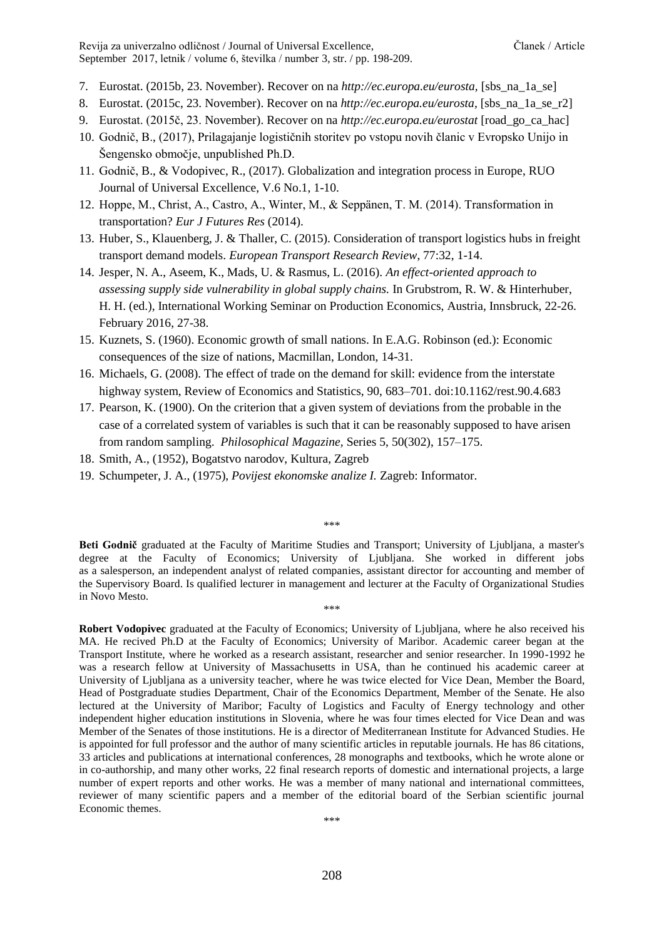Revija za univerzalno odličnost / Journal of Universal Excellence, Članek / Article September 2017, letnik / volume 6, številka / number 3, str. / pp. 198-209.

- 7. Eurostat. (2015b, 23. November). Recover on na *http://ec.europa.eu/eurosta,* [sbs\_na\_1a\_se]
- 8. Eurostat. (2015c, 23. November). Recover on na *http://ec.europa.eu/eurosta,* [sbs\_na\_1a\_se\_r2]
- 9. Eurostat. (2015č, 23. November). Recover on na *http://ec.europa.eu/eurostat* [road\_go\_ca\_hac]
- 10. Godnič, B., (2017), Prilagajanje logističnih storitev po vstopu novih članic v Evropsko Unijo in Šengensko območje, unpublished Ph.D.
- 11. Godnič, B., & Vodopivec, R., (2017). Globalization and integration process in Europe, RUO Journal of Universal Excellence, V.6 No.1, 1-10.
- 12. Hoppe, M., Christ, A., Castro, A., Winter, M., & Seppänen, T. M. (2014). Transformation in transportation? *Eur J Futures Res* (2014).
- 13. Huber, S., Klauenberg, J. & Thaller, C. (2015). Consideration of transport logistics hubs in freight transport demand models. *European Transport Research Review*, 77:32, 1-14.
- 14. Jesper, N. A., Aseem, K., Mads, U. & Rasmus, L. (2016). *An effect-oriented approach to assessing supply side vulnerability in global supply chains.* In Grubstrom, R. W. & Hinterhuber, H. H. (ed.), International Working Seminar on Production Economics, Austria, Innsbruck, 22-26. February 2016, 27-38.
- 15. Kuznets, S. (1960). Economic growth of small nations. In E.A.G. Robinson (ed.): Economic consequences of the size of nations, Macmillan, London, 14-31.
- 16. Michaels, G. (2008). The effect of trade on the demand for skill: evidence from the interstate highway system, Review of Economics and Statistics, 90, 683–701. doi:10.1162/rest.90.4.683
- 17. Pearson, K. (1900). On the criterion that a given system of deviations from the probable in the case of a correlated system of variables is such that it can be reasonably supposed to have arisen from random sampling. *Philosophical Magazine,* Series 5, 50(302), 157–175.
- 18. Smith, A., (1952), Bogatstvo narodov, Kultura, Zagreb
- 19. Schumpeter, J. A., (1975), *Povijest ekonomske analize I.* Zagreb: Informator.

\*\*\*

**Beti Godnič** graduated at the Faculty of Maritime Studies and Transport; University of Ljubljana, a master's degree at the Faculty of Economics; University of Ljubljana. She worked in different jobs as a salesperson, an independent analyst of related companies, assistant director for accounting and member of the Supervisory Board. Is qualified lecturer in management and lecturer at the Faculty of Organizational Studies in Novo Mesto. \*\*\*

**Robert Vodopivec** graduated at the Faculty of Economics; University of Ljubljana, where he also received his MA. He recived Ph.D at the Faculty of Economics; University of Maribor. Academic career began at the Transport Institute, where he worked as a research assistant, researcher and senior researcher. In 1990-1992 he was a research fellow at University of Massachusetts in USA, than he continued his academic career at University of Ljubljana as a university teacher, where he was twice elected for Vice Dean, Member the Board, Head of Postgraduate studies Department, Chair of the Economics Department, Member of the Senate. He also lectured at the University of Maribor; Faculty of Logistics and Faculty of Energy technology and other independent higher education institutions in Slovenia, where he was four times elected for Vice Dean and was Member of the Senates of those institutions. He is a director of Mediterranean Institute for Advanced Studies. He is appointed for full professor and the author of many scientific articles in reputable journals. He has 86 citations, 33 articles and publications at international conferences, 28 monographs and textbooks, which he wrote alone or in co-authorship, and many other works, 22 final research reports of domestic and international projects, a large number of expert reports and other works. He was a member of many national and international committees, reviewer of many scientific papers and a member of the editorial board of the Serbian scientific journal Economic themes.